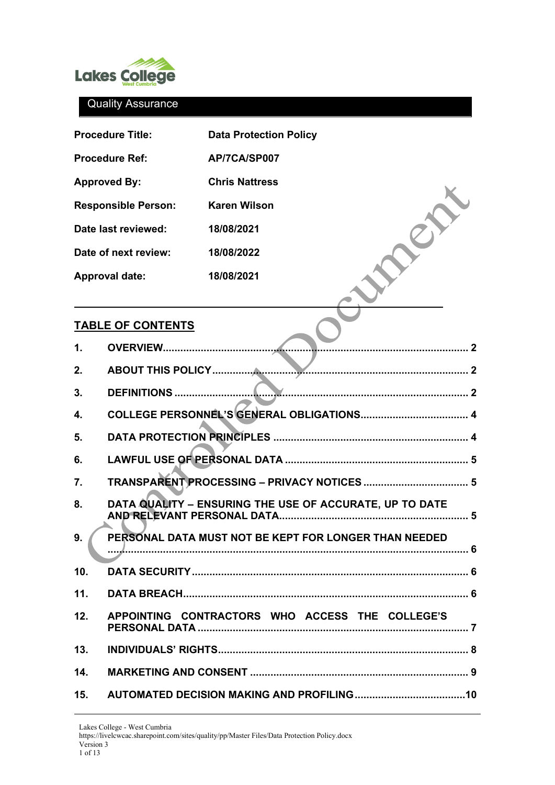

|                     | <b>Procedure Title:</b>       | <b>Data Protection Policy</b>                                  |  |  |  |  |
|---------------------|-------------------------------|----------------------------------------------------------------|--|--|--|--|
|                     | <b>Procedure Ref:</b>         | AP/7CA/SP007                                                   |  |  |  |  |
| <b>Approved By:</b> |                               | <b>Chris Nattress</b>                                          |  |  |  |  |
|                     | <b>Responsible Person:</b>    | <b>Karen Wilson</b>                                            |  |  |  |  |
|                     | Date last reviewed:           | 18/08/2021                                                     |  |  |  |  |
|                     | Date of next review:          | 18/08/2022                                                     |  |  |  |  |
|                     | <b>Approval date:</b>         | 18/08/2021                                                     |  |  |  |  |
|                     | <b>TABLE OF CONTENTS</b>      |                                                                |  |  |  |  |
| 1.                  | <b>OVERVIEW</b>               |                                                                |  |  |  |  |
| 2.                  | <b>ABOUT THIS POLICY</b><br>2 |                                                                |  |  |  |  |
| 3.                  | <b>DEFINITIONS.</b>           |                                                                |  |  |  |  |
| 4.                  |                               |                                                                |  |  |  |  |
| 5.                  |                               |                                                                |  |  |  |  |
| 6.                  |                               |                                                                |  |  |  |  |
| 7.                  |                               |                                                                |  |  |  |  |
| 8.                  |                               | DATA QUALITY - ENSURING THE USE OF ACCURATE, UP TO DATE<br>. 5 |  |  |  |  |
| 9.                  |                               | PERSONAL DATA MUST NOT BE KEPT FOR LONGER THAN NEEDED          |  |  |  |  |
| 10.                 |                               |                                                                |  |  |  |  |
| 11.                 |                               |                                                                |  |  |  |  |
| 12.                 |                               | APPOINTING CONTRACTORS WHO ACCESS THE COLLEGE'S                |  |  |  |  |
| 13.                 |                               |                                                                |  |  |  |  |
| 14.                 |                               |                                                                |  |  |  |  |

**15. [AUTOMATED DECISION MAKING AND PROFILING......................................10](#page-9-0)**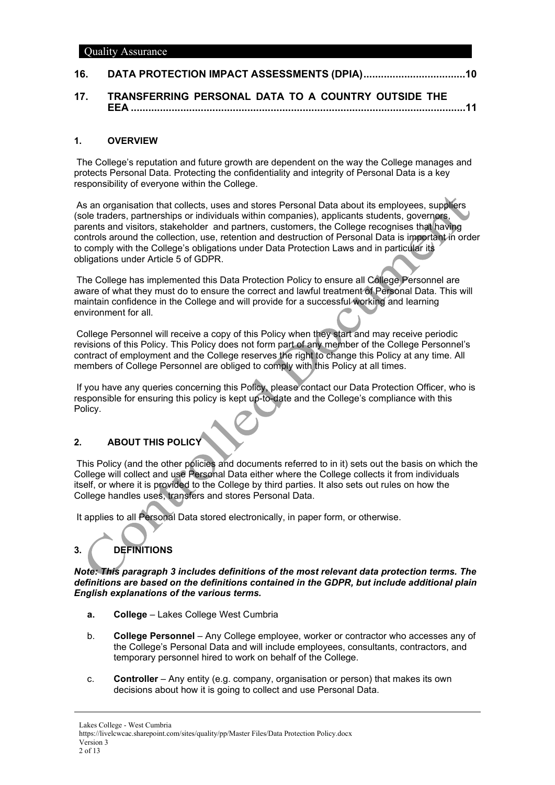# **16. [DATA PROTECTION IMPACT ASSESSMENTS \(DPIA\)...................................10](#page-10-0)**

**17. [TRANSFERRING PERSONAL DATA TO A COUNTRY OUTSIDE THE](#page-10-1)  EEA [...................................................................................................................11](#page-10-1)**

# <span id="page-1-0"></span>**1. OVERVIEW**

The College's reputation and future growth are dependent on the way the College manages and protects Personal Data. Protecting the confidentiality and integrity of Personal Data is a key responsibility of everyone within the College.

As an organisation that collects, uses and stores Personal Data about its employees, suppliers (sole traders, partnerships or individuals within companies), applicants students, governors, parents and visitors, stakeholder and partners, customers, the College recognises that having controls around the collection, use, retention and destruction of Personal Data is important in order to comply with the College's obligations under Data Protection Laws and in particular its obligations under Article 5 of GDPR.

The College has implemented this Data Protection Policy to ensure all College Personnel are aware of what they must do to ensure the correct and lawful treatment of Personal Data. This will maintain confidence in the College and will provide for a successful working and learning environment for all.

College Personnel will receive a copy of this Policy when they start and may receive periodic revisions of this Policy. This Policy does not form part of any member of the College Personnel's contract of employment and the College reserves the right to change this Policy at any time. All members of College Personnel are obliged to comply with this Policy at all times.

If you have any queries concerning this Policy, please contact our Data Protection Officer, who is responsible for ensuring this policy is kept up-to-date and the College's compliance with this Policy.

# <span id="page-1-1"></span>**2. ABOUT THIS POLICY**

This Policy (and the other policies and documents referred to in it) sets out the basis on which the College will collect and use Personal Data either where the College collects it from individuals itself, or where it is provided to the College by third parties. It also sets out rules on how the College handles uses, transfers and stores Personal Data.

<span id="page-1-2"></span>It applies to all Personal Data stored electronically, in paper form, or otherwise.

# **3. DEFINITIONS**

*Note: This paragraph 3 includes definitions of the most relevant data protection terms. The definitions are based on the definitions contained in the GDPR, but include additional plain English explanations of the various terms.*

- **a. College** Lakes College West Cumbria
- b. **College Personnel** Any College employee, worker or contractor who accesses any of the College's Personal Data and will include employees, consultants, contractors, and temporary personnel hired to work on behalf of the College.
- c. **Controller** Any entity (e.g. company, organisation or person) that makes its own decisions about how it is going to collect and use Personal Data.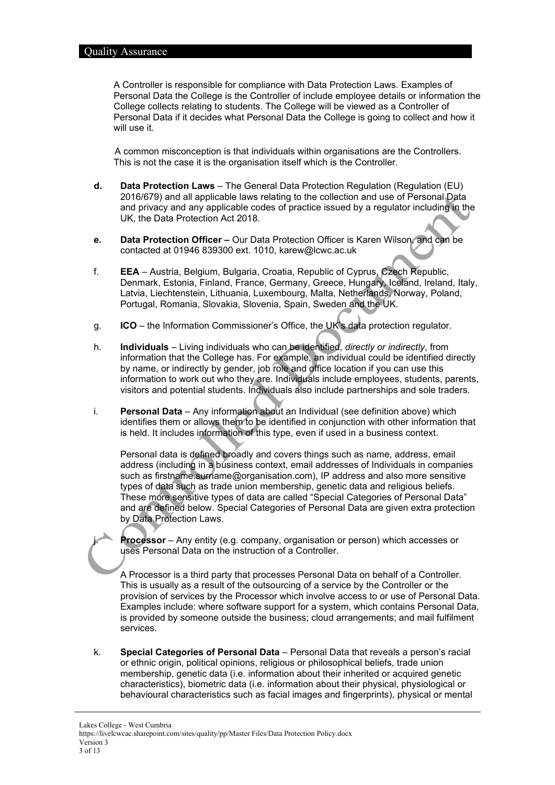A Controller is responsible for compliance with Data Protection Laws. Examples of Personal Data the College is the Controller of include employee details or information the College collects relating to students. The College will be viewed as a Controller of Personal Data if it decides what Personal Data the College is going to collect and how it will use it.

A common misconception is that individuals within organisations are the Controllers. This is not the case it is the organisation itself which is the Controller.

- **d. Data Protection Laws**  The General Data Protection Regulation (Regulation (EU) 2016/679) and all applicable laws relating to the collection and use of Personal Data and privacy and any applicable codes of practice issued by a regulator including in the UK, the Data Protection Act 2018.
- **e. Data Protection Officer –** Our Data Protection Officer is Karen Wilson, and can be contacted at 01946 839300 ext. 1010, karew@lcwc.ac.uk
- f. **EEA** Austria, Belgium, Bulgaria, Croatia, Republic of Cyprus, Czech Republic, Denmark, Estonia, Finland, France, Germany, Greece, Hungary, Iceland, Ireland, Italy, Latvia, Liechtenstein, Lithuania, Luxembourg, Malta, Netherlands, Norway, Poland, Portugal, Romania, Slovakia, Slovenia, Spain, Sweden and the UK.
- g. **ICO**  the Information Commissioner's Office, the UK's data protection regulator.
- h. **Individuals** Living individuals who can be identified, *directly or indirectly*, from information that the College has. For example, an individual could be identified directly by name, or indirectly by gender, job role and office location if you can use this information to work out who they are. Individuals include employees, students, parents, visitors and potential students. Individuals also include partnerships and sole traders.
- i. **Personal Data** Any information about an Individual (see definition above) which identifies them or allows them to be identified in conjunction with other information that is held. It includes information of this type, even if used in a business context.

Personal data is defined broadly and covers things such as name, address, email address (including in a business context, email addresses of Individuals in companies such as firstname.surname@organisation.com), IP address and also more sensitive types of data such as trade union membership, genetic data and religious beliefs. These more sensitive types of data are called "Special Categories of Personal Data" and are defined below. Special Categories of Personal Data are given extra protection by Data Protection Laws.

**Processor** – Any entity (e.g. company, organisation or person) which accesses or uses Personal Data on the instruction of a Controller.

A Processor is a third party that processes Personal Data on behalf of a Controller. This is usually as a result of the outsourcing of a service by the Controller or the provision of services by the Processor which involve access to or use of Personal Data. Examples include: where software support for a system, which contains Personal Data, is provided by someone outside the business; cloud arrangements; and mail fulfilment services.

k. **Special Categories of Personal Data** – Personal Data that reveals a person's racial or ethnic origin, political opinions, religious or philosophical beliefs, trade union membership, genetic data (i.e. information about their inherited or acquired genetic characteristics), biometric data (i.e. information about their physical, physiological or behavioural characteristics such as facial images and fingerprints), physical or mental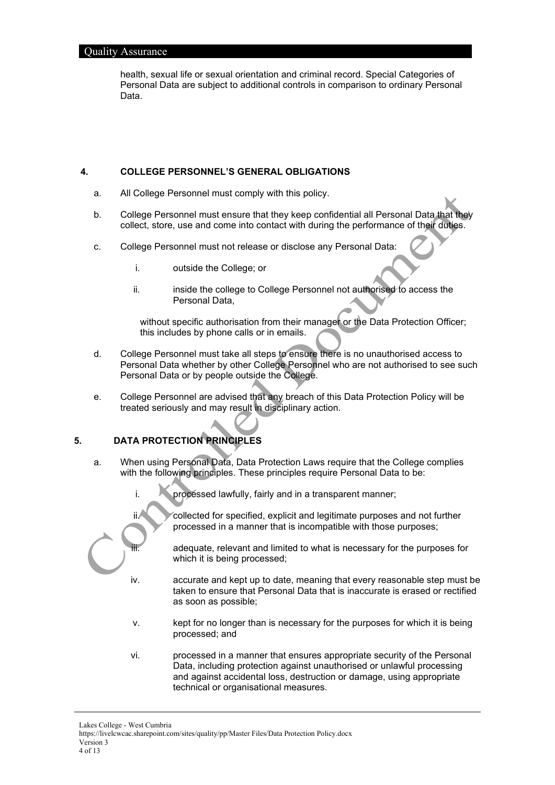health, sexual life or sexual orientation and criminal record. Special Categories of Personal Data are subject to additional controls in comparison to ordinary Personal Data.

#### <span id="page-3-0"></span>**4. COLLEGE PERSONNEL'S GENERAL OBLIGATIONS**

- a. All College Personnel must comply with this policy.
- b. College Personnel must ensure that they keep confidential all Personal Data that they collect, store, use and come into contact with during the performance of their duties.
- c. College Personnel must not release or disclose any Personal Data:
	- i. outside the College; or
	- ii. inside the college to College Personnel not authorised to access the Personal Data,

without specific authorisation from their manager or the Data Protection Officer; this includes by phone calls or in emails.

- d. College Personnel must take all steps to ensure there is no unauthorised access to Personal Data whether by other College Personnel who are not authorised to see such Personal Data or by people outside the College.
- e. College Personnel are advised that any breach of this Data Protection Policy will be treated seriously and may result in disciplinary action.

# <span id="page-3-1"></span>**5. DATA PROTECTION PRINCIPLES**

- a. When using Personal Data, Data Protection Laws require that the College complies with the following principles. These principles require Personal Data to be:
	- i. processed lawfully, fairly and in a transparent manner;



ii. Collected for specified, explicit and legitimate purposes and not further processed in a manner that is incompatible with those purposes;

> adequate, relevant and limited to what is necessary for the purposes for which it is being processed;

- iv. accurate and kept up to date, meaning that every reasonable step must be taken to ensure that Personal Data that is inaccurate is erased or rectified as soon as possible;
- v. kept for no longer than is necessary for the purposes for which it is being processed; and
- vi. processed in a manner that ensures appropriate security of the Personal Data, including protection against unauthorised or unlawful processing and against accidental loss, destruction or damage, using appropriate technical or organisational measures.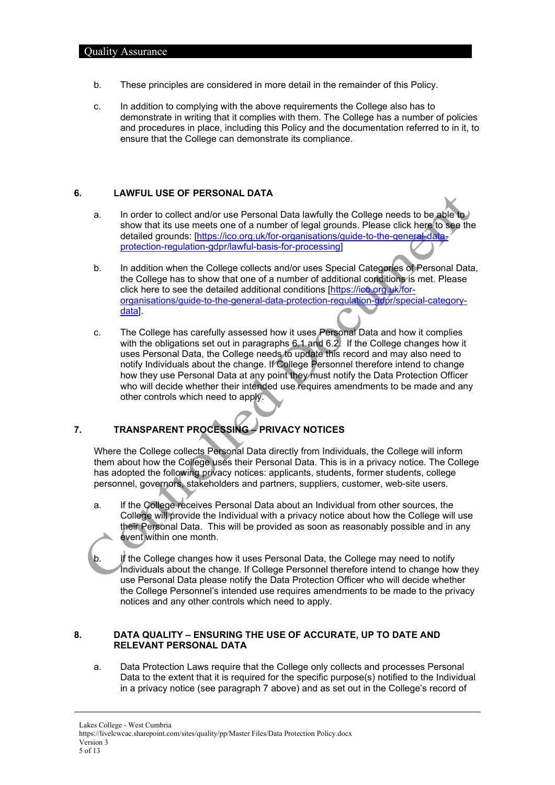- b. These principles are considered in more detail in the remainder of this Policy.
- c. In addition to complying with the above requirements the College also has to demonstrate in writing that it complies with them. The College has a number of policies and procedures in place, including this Policy and the documentation referred to in it, to ensure that the College can demonstrate its compliance.

## <span id="page-4-3"></span><span id="page-4-0"></span>**6. LAWFUL USE OF PERSONAL DATA**

- a. In order to collect and/or use Personal Data lawfully the College needs to be able to show that its use meets one of a number of legal grounds. Please click here to see the detailed grounds: [\[https://ico.org.uk/for-organisations/guide-to-the-general-data](https://ico.org.uk/for-organisations/guide-to-the-general-data-protection-regulation-gdpr/lawful-basis-for-processing)[protection-regulation-gdpr/lawful-basis-for-processing\]](https://ico.org.uk/for-organisations/guide-to-the-general-data-protection-regulation-gdpr/lawful-basis-for-processing)
- <span id="page-4-4"></span>b. In addition when the College collects and/or uses Special Categories of Personal Data, the College has to show that one of a number of additional conditions is met. Please click here to see the detailed additional conditions [\[https://ico.org.uk/for](https://ico.org.uk/for-organisations/guide-to-the-general-data-protection-regulation-gdpr/special-category-data)[organisations/guide-to-the-general-data-protection-regulation-gdpr/special-category](https://ico.org.uk/for-organisations/guide-to-the-general-data-protection-regulation-gdpr/special-category-data)[data\]](https://ico.org.uk/for-organisations/guide-to-the-general-data-protection-regulation-gdpr/special-category-data).
- c. The College has carefully assessed how it uses Personal Data and how it complies with the obligations set out in paragraphs [6.1](#page-4-3) and [6.2.](#page-4-4) If the College changes how it uses Personal Data, the College needs to update this record and may also need to notify Individuals about the change. If College Personnel therefore intend to change how they use Personal Data at any point they must notify the Data Protection Officer who will decide whether their intended use requires amendments to be made and any other controls which need to apply.

# <span id="page-4-1"></span>**7. TRANSPARENT PROCESSING – PRIVACY NOTICES**

Where the College collects Personal Data directly from Individuals, the College will inform them about how the College uses their Personal Data. This is in a privacy notice. The College has adopted the following privacy notices: applicants, students, former students, college personnel, governors, stakeholders and partners, suppliers, customer, web-site users.

- a. If the College receives Personal Data about an Individual from other sources, the College will provide the Individual with a privacy notice about how the College will use their Personal Data. This will be provided as soon as reasonably possible and in any event within one month.
- b. If the College changes how it uses Personal Data, the College may need to notify Individuals about the change. If College Personnel therefore intend to change how they use Personal Data please notify the Data Protection Officer who will decide whether the College Personnel's intended use requires amendments to be made to the privacy notices and any other controls which need to apply.

## <span id="page-4-2"></span>**8. DATA QUALITY – ENSURING THE USE OF ACCURATE, UP TO DATE AND RELEVANT PERSONAL DATA**

a. Data Protection Laws require that the College only collects and processes Personal Data to the extent that it is required for the specific purpose(s) notified to the Individual in a privacy notice (see paragraph [7](#page-4-1) above) and as set out in the College's record of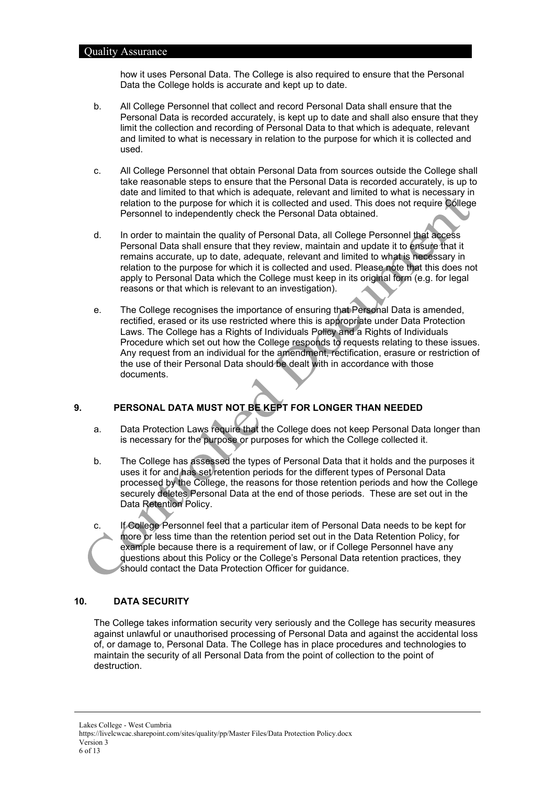how it uses Personal Data. The College is also required to ensure that the Personal Data the College holds is accurate and kept up to date.

- b. All College Personnel that collect and record Personal Data shall ensure that the Personal Data is recorded accurately, is kept up to date and shall also ensure that they limit the collection and recording of Personal Data to that which is adequate, relevant and limited to what is necessary in relation to the purpose for which it is collected and used.
- c. All College Personnel that obtain Personal Data from sources outside the College shall take reasonable steps to ensure that the Personal Data is recorded accurately, is up to date and limited to that which is adequate, relevant and limited to what is necessary in relation to the purpose for which it is collected and used. This does not require College Personnel to independently check the Personal Data obtained.
- d. In order to maintain the quality of Personal Data, all College Personnel that access Personal Data shall ensure that they review, maintain and update it to ensure that it remains accurate, up to date, adequate, relevant and limited to what is necessary in relation to the purpose for which it is collected and used. Please note that this does not apply to Personal Data which the College must keep in its original form (e.g. for legal reasons or that which is relevant to an investigation).
- e. The College recognises the importance of ensuring that Personal Data is amended, rectified, erased or its use restricted where this is appropriate under Data Protection Laws. The College has a Rights of Individuals Policy and a Rights of Individuals Procedure which set out how the College responds to requests relating to these issues. Any request from an individual for the amendment, rectification, erasure or restriction of the use of their Personal Data should be dealt with in accordance with those documents.

# <span id="page-5-0"></span>**9. PERSONAL DATA MUST NOT BE KEPT FOR LONGER THAN NEEDED**

- a. Data Protection Laws require that the College does not keep Personal Data longer than is necessary for the purpose or purposes for which the College collected it.
- b. The College has assessed the types of Personal Data that it holds and the purposes it uses it for and has set retention periods for the different types of Personal Data processed by the College, the reasons for those retention periods and how the College securely deletes Personal Data at the end of those periods. These are set out in the Data Retention Policy.
- c. If College Personnel feel that a particular item of Personal Data needs to be kept for more or less time than the retention period set out in the Data Retention Policy, for example because there is a requirement of law, or if College Personnel have any questions about this Policy or the College's Personal Data retention practices, they should contact the Data Protection Officer for guidance.

## <span id="page-5-1"></span>**10. DATA SECURITY**

The College takes information security very seriously and the College has security measures against unlawful or unauthorised processing of Personal Data and against the accidental loss of, or damage to, Personal Data. The College has in place procedures and technologies to maintain the security of all Personal Data from the point of collection to the point of destruction.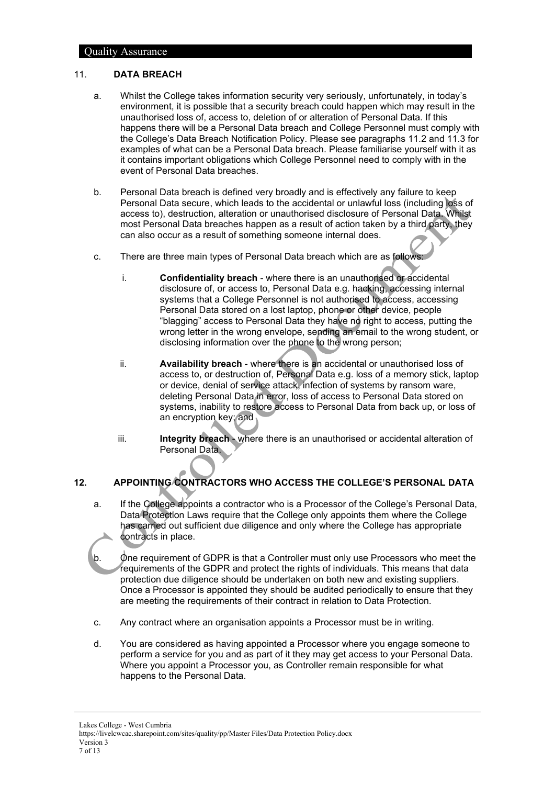#### <span id="page-6-0"></span>11. **DATA BREACH**

- a. Whilst the College takes information security very seriously, unfortunately, in today's environment, it is possible that a security breach could happen which may result in the unauthorised loss of, access to, deletion of or alteration of Personal Data. If this happens there will be a Personal Data breach and College Personnel must comply with the College's Data Breach Notification Policy. Please see paragraphs [11.2](#page-6-2) and [11.3](#page-6-3) for examples of what can be a Personal Data breach. Please familiarise yourself with it as it contains important obligations which College Personnel need to comply with in the event of Personal Data breaches.
- <span id="page-6-2"></span>b. Personal Data breach is defined very broadly and is effectively any failure to keep Personal Data secure, which leads to the accidental or unlawful loss (including loss of access to), destruction, alteration or unauthorised disclosure of Personal Data. Whilst most Personal Data breaches happen as a result of action taken by a third party, they can also occur as a result of something someone internal does.
- <span id="page-6-3"></span>c. There are three main types of Personal Data breach which are as follows:
	- i. **Confidentiality breach** where there is an unauthorised or accidental disclosure of, or access to, Personal Data e.g. hacking, accessing internal systems that a College Personnel is not authorised to access, accessing Personal Data stored on a lost laptop, phone or other device, people "blagging" access to Personal Data they have no right to access, putting the wrong letter in the wrong envelope, sending an email to the wrong student, or disclosing information over the phone to the wrong person;
	- ii. **Availability breach** where there is an accidental or unauthorised loss of access to, or destruction of, Personal Data e.g. loss of a memory stick, laptop or device, denial of service attack, infection of systems by ransom ware, deleting Personal Data in error, loss of access to Personal Data stored on systems, inability to restore access to Personal Data from back up, or loss of an encryption key; and
	- iii. **Integrity breach** where there is an unauthorised or accidental alteration of Personal Data.

# <span id="page-6-1"></span>**12. APPOINTING CONTRACTORS WHO ACCESS THE COLLEGE'S PERSONAL DATA**

- a. If the College appoints a contractor who is a Processor of the College's Personal Data, Data Protection Laws require that the College only appoints them where the College has carried out sufficient due diligence and only where the College has appropriate contracts in place.
- b. One requirement of GDPR is that a Controller must only use Processors who meet the requirements of the GDPR and protect the rights of individuals. This means that data protection due diligence should be undertaken on both new and existing suppliers. Once a Processor is appointed they should be audited periodically to ensure that they are meeting the requirements of their contract in relation to Data Protection.
- c. Any contract where an organisation appoints a Processor must be in writing.
- d. You are considered as having appointed a Processor where you engage someone to perform a service for you and as part of it they may get access to your Personal Data. Where you appoint a Processor you, as Controller remain responsible for what happens to the Personal Data.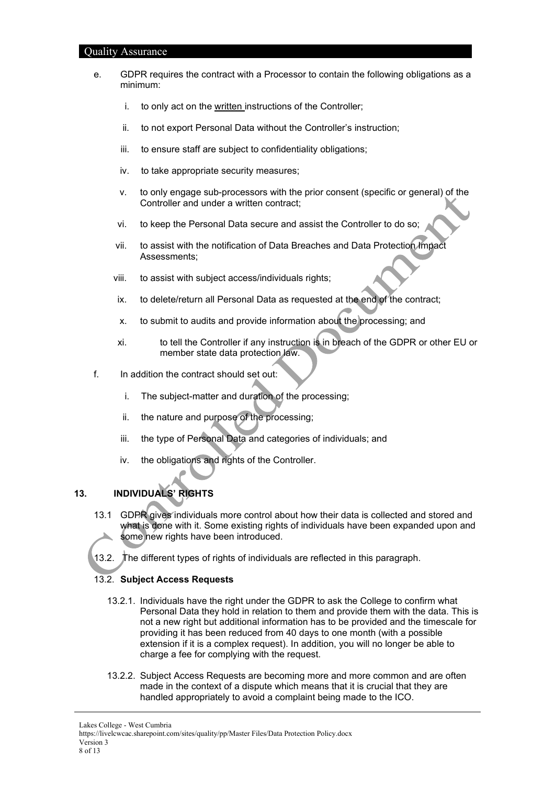| aamiy<br><b>Troodiance</b> |                            |                                                                                                   |                                                                                                                                                                                                                        |  |
|----------------------------|----------------------------|---------------------------------------------------------------------------------------------------|------------------------------------------------------------------------------------------------------------------------------------------------------------------------------------------------------------------------|--|
|                            | e.                         | GDPR requires the contract with a Processor to contain the following obligations as a<br>minimum: |                                                                                                                                                                                                                        |  |
|                            |                            | i.                                                                                                | to only act on the written instructions of the Controller;                                                                                                                                                             |  |
|                            |                            | ii.                                                                                               | to not export Personal Data without the Controller's instruction;                                                                                                                                                      |  |
|                            |                            | iii.                                                                                              | to ensure staff are subject to confidentiality obligations;                                                                                                                                                            |  |
|                            |                            | iv.                                                                                               | to take appropriate security measures;                                                                                                                                                                                 |  |
|                            |                            | ν.                                                                                                | to only engage sub-processors with the prior consent (specific or general) of the<br>Controller and under a written contract;                                                                                          |  |
|                            |                            | vi.                                                                                               | to keep the Personal Data secure and assist the Controller to do so;                                                                                                                                                   |  |
|                            |                            | vii.                                                                                              | to assist with the notification of Data Breaches and Data Protection Impact<br>Assessments;                                                                                                                            |  |
|                            |                            | viii.                                                                                             | to assist with subject access/individuals rights;                                                                                                                                                                      |  |
|                            |                            | ix.                                                                                               | to delete/return all Personal Data as requested at the end of the contract;                                                                                                                                            |  |
|                            |                            | х.                                                                                                | to submit to audits and provide information about the processing; and                                                                                                                                                  |  |
|                            |                            | xi.                                                                                               | to tell the Controller if any instruction is in breach of the GDPR or other EU or<br>member state data protection law.                                                                                                 |  |
|                            | f.                         |                                                                                                   | In addition the contract should set out:                                                                                                                                                                               |  |
|                            |                            | i.                                                                                                | The subject-matter and duration of the processing;                                                                                                                                                                     |  |
|                            |                            | ii.                                                                                               | the nature and purpose of the processing;                                                                                                                                                                              |  |
|                            |                            | iii.                                                                                              | the type of Personal Data and categories of individuals; and                                                                                                                                                           |  |
|                            |                            | iv.                                                                                               | the obligations and rights of the Controller.                                                                                                                                                                          |  |
| 13.                        | <b>INDIVIDUALS' RIGHTS</b> |                                                                                                   |                                                                                                                                                                                                                        |  |
|                            | 13.1                       |                                                                                                   | GDPR gives individuals more control about how their data is collected and stored and<br>what is done with it. Some existing rights of individuals have been expanded upon and<br>some new rights have been introduced. |  |
|                            | 13.2.                      | The different types of rights of individuals are reflected in this paragraph.                     |                                                                                                                                                                                                                        |  |
|                            |                            | 13.2. Subject Access Requests                                                                     |                                                                                                                                                                                                                        |  |

- <span id="page-7-0"></span>13.2.1. Individuals have the right under the GDPR to ask the College to confirm what Personal Data they hold in relation to them and provide them with the data. This is not a new right but additional information has to be provided and the timescale for providing it has been reduced from 40 days to one month (with a possible extension if it is a complex request). In addition, you will no longer be able to charge a fee for complying with the request.
- 13.2.2. Subject Access Requests are becoming more and more common and are often made in the context of a dispute which means that it is crucial that they are handled appropriately to avoid a complaint being made to the ICO.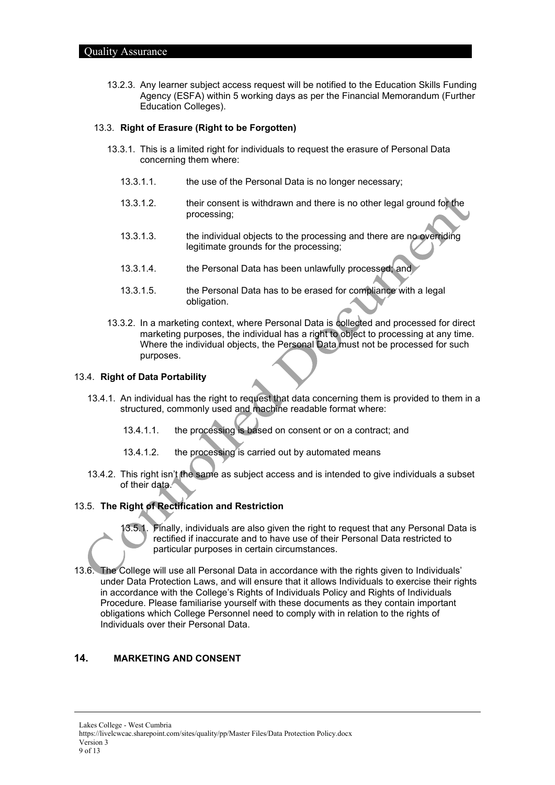13.2.3. Any learner subject access request will be notified to the Education Skills Funding Agency (ESFA) within 5 working days as per the Financial Memorandum (Further Education Colleges).

#### 13.3. **Right of Erasure (Right to be Forgotten)**

- 13.3.1. This is a limited right for individuals to request the erasure of Personal Data concerning them where:
	- 13.3.1.1. the use of the Personal Data is no longer necessary;
	- 13.3.1.2. their consent is withdrawn and there is no other legal ground for the processing;
	- 13.3.1.3. the individual objects to the processing and there are no overriding legitimate grounds for the processing;
	- 13.3.1.4. the Personal Data has been unlawfully processed; and
	- 13.3.1.5. the Personal Data has to be erased for compliance with a legal obligation.
- 13.3.2. In a marketing context, where Personal Data is collected and processed for direct marketing purposes, the individual has a right to object to processing at any time. Where the individual objects, the Personal Data must not be processed for such purposes.

#### 13.4. **Right of Data Portability**

- 13.4.1. An individual has the right to request that data concerning them is provided to them in a structured, commonly used and machine readable format where:
	- 13.4.1.1. the processing is based on consent or on a contract; and
	- 13.4.1.2. the processing is carried out by automated means
- 13.4.2. This right isn't the same as subject access and is intended to give individuals a subset of their data.

## 13.5. **The Right of Rectification and Restriction**



13.5.1. Finally, individuals are also given the right to request that any Personal Data is rectified if inaccurate and to have use of their Personal Data restricted to particular purposes in certain circumstances.

13.6. The College will use all Personal Data in accordance with the rights given to Individuals' under Data Protection Laws, and will ensure that it allows Individuals to exercise their rights in accordance with the College's Rights of Individuals Policy and Rights of Individuals Procedure. Please familiarise yourself with these documents as they contain important obligations which College Personnel need to comply with in relation to the rights of Individuals over their Personal Data.

# <span id="page-8-0"></span>**14. MARKETING AND CONSENT**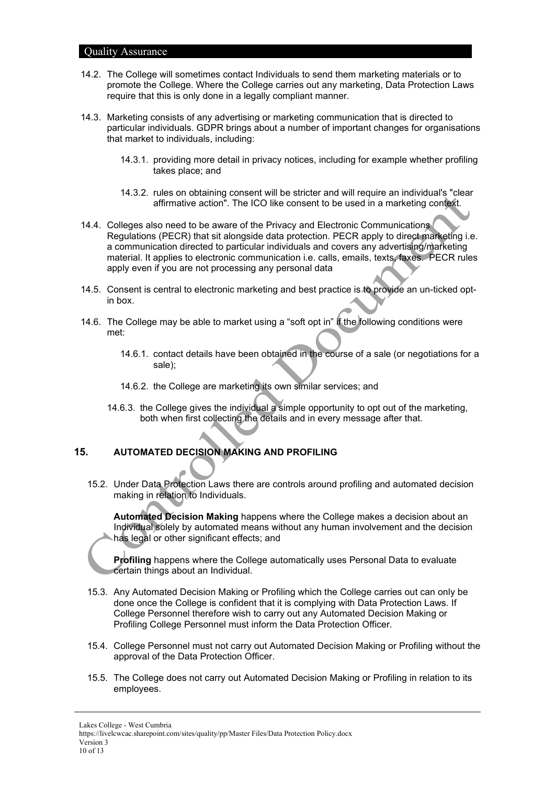- 14.2. The College will sometimes contact Individuals to send them marketing materials or to promote the College. Where the College carries out any marketing, Data Protection Laws require that this is only done in a legally compliant manner.
- 14.3. Marketing consists of any advertising or marketing communication that is directed to particular individuals. GDPR brings about a number of important changes for organisations that market to individuals, including:
	- 14.3.1. providing more detail in privacy notices, including for example whether profiling takes place; and
	- 14.3.2. rules on obtaining consent will be stricter and will require an individual's "clear affirmative action". The ICO like consent to be used in a marketing context.
- 14.4. Colleges also need to be aware of the Privacy and Electronic Communications Regulations (PECR) that sit alongside data protection. PECR apply to direct marketing i.e. a communication directed to particular individuals and covers any advertising/marketing material. It applies to electronic communication i.e. calls, emails, texts, faxes. PECR rules apply even if you are not processing any personal data
- 14.5. Consent is central to electronic marketing and best practice is to provide an un-ticked optin box.
- 14.6. The College may be able to market using a "soft opt in" if the following conditions were met:
	- 14.6.1. contact details have been obtained in the course of a sale (or negotiations for a sale);
	- 14.6.2. the College are marketing its own similar services; and
	- 14.6.3. the College gives the individual a simple opportunity to opt out of the marketing, both when first collecting the details and in every message after that.

# <span id="page-9-0"></span>**15. AUTOMATED DECISION MAKING AND PROFILING**

15.2. Under Data Protection Laws there are controls around profiling and automated decision making in relation to Individuals.

**Automated Decision Making** happens where the College makes a decision about an Individual solely by automated means without any human involvement and the decision has legal or other significant effects; and

**Profiling** happens where the College automatically uses Personal Data to evaluate certain things about an Individual.

- 15.3. Any Automated Decision Making or Profiling which the College carries out can only be done once the College is confident that it is complying with Data Protection Laws. If College Personnel therefore wish to carry out any Automated Decision Making or Profiling College Personnel must inform the Data Protection Officer.
- 15.4. College Personnel must not carry out Automated Decision Making or Profiling without the approval of the Data Protection Officer.
- 15.5. The College does not carry out Automated Decision Making or Profiling in relation to its employees.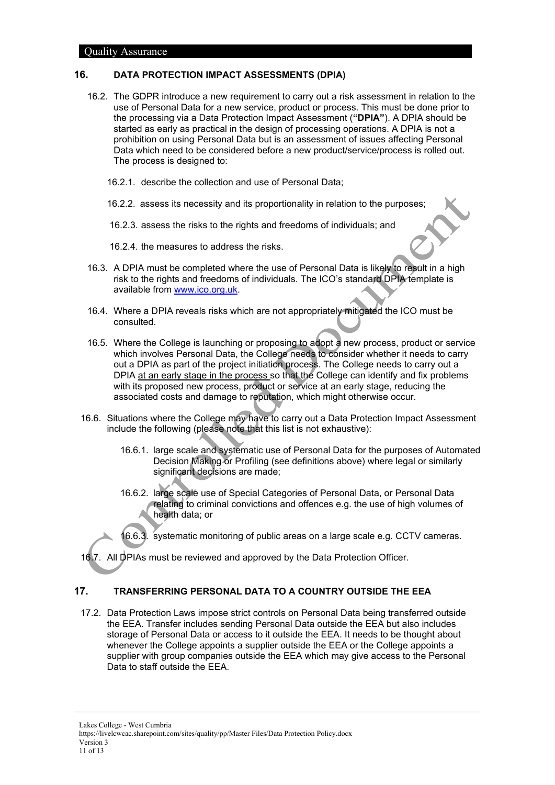#### <span id="page-10-0"></span>**16. DATA PROTECTION IMPACT ASSESSMENTS (DPIA)**

- 16.2. The GDPR introduce a new requirement to carry out a risk assessment in relation to the use of Personal Data for a new service, product or process. This must be done prior to the processing via a Data Protection Impact Assessment (**"DPIA"**). A DPIA should be started as early as practical in the design of processing operations. A DPIA is not a prohibition on using Personal Data but is an assessment of issues affecting Personal Data which need to be considered before a new product/service/process is rolled out. The process is designed to:
	- 16.2.1. describe the collection and use of Personal Data;
	- 16.2.2. assess its necessity and its proportionality in relation to the purposes;
	- 16.2.3. assess the risks to the rights and freedoms of individuals; and
	- 16.2.4. the measures to address the risks.
- 16.3. A DPIA must be completed where the use of Personal Data is likely to result in a high risk to the rights and freedoms of individuals. The ICO's standard DPIA template is available from [www.ico.org.uk.](http://www.ico.org.uk/)
- 16.4. Where a DPIA reveals risks which are not appropriately mitigated the ICO must be consulted.
- 16.5. Where the College is launching or proposing to adopt a new process, product or service which involves Personal Data, the College needs to consider whether it needs to carry out a DPIA as part of the project initiation process. The College needs to carry out a DPIA at an early stage in the process so that the College can identify and fix problems with its proposed new process, product or service at an early stage, reducing the associated costs and damage to reputation, which might otherwise occur.
- 16.6. Situations where the College may have to carry out a Data Protection Impact Assessment include the following (please note that this list is not exhaustive):
	- 16.6.1. large scale and systematic use of Personal Data for the purposes of Automated Decision Making or Profiling (see definitions above) where legal or similarly significant decisions are made;
	- 16.6.2. large scale use of Special Categories of Personal Data, or Personal Data relating to criminal convictions and offences e.g. the use of high volumes of health data; or
	- 16.6.3. systematic monitoring of public areas on a large scale e.g. CCTV cameras.

<span id="page-10-1"></span>16.7. All DPIAs must be reviewed and approved by the Data Protection Officer.

# **17. TRANSFERRING PERSONAL DATA TO A COUNTRY OUTSIDE THE EEA**

17.2. Data Protection Laws impose strict controls on Personal Data being transferred outside the EEA. Transfer includes sending Personal Data outside the EEA but also includes storage of Personal Data or access to it outside the EEA. It needs to be thought about whenever the College appoints a supplier outside the EEA or the College appoints a supplier with group companies outside the EEA which may give access to the Personal Data to staff outside the EEA.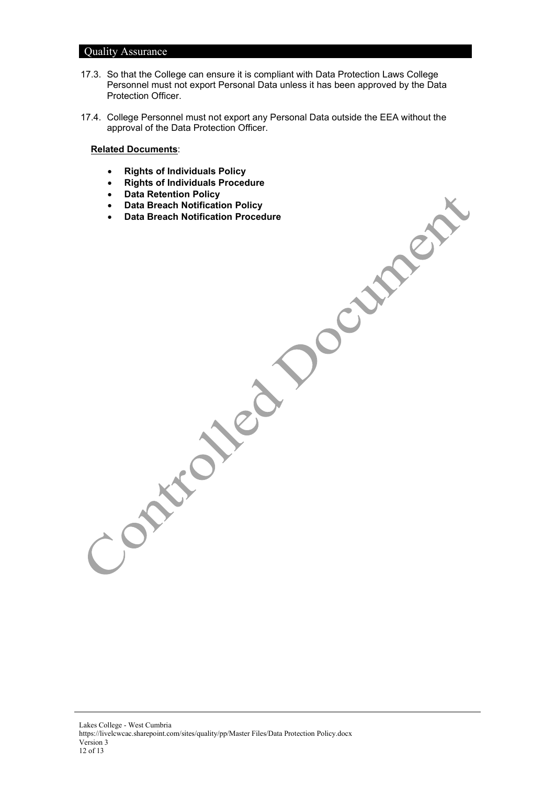- 17.3. So that the College can ensure it is compliant with Data Protection Laws College Personnel must not export Personal Data unless it has been approved by the Data Protection Officer.
- 17.4. College Personnel must not export any Personal Data outside the EEA without the approval of the Data Protection Officer.

#### **Related Documents**:

- **Rights of Individuals Policy**
- **Rights of Individuals Procedure**
- **Data Retention Policy**
- **Data Breach Notification Policy**
- **Data Breach Notification Procedure**

Lakes College - West Cumbria https://livelcwcac.sharepoint.com/sites/quality/pp/Master Files/Data Protection Policy.docx Version 3 12 of 13